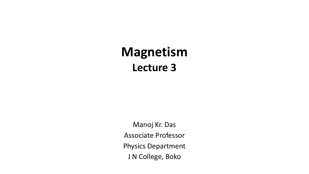# **Magnetism Lecture 3**

Manoj Kr. Das Associate Professor Physics Department J N College, Boko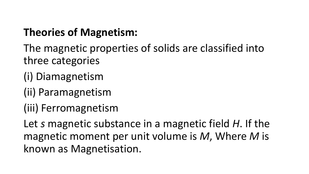### **Theories of Magnetism:**

- The magnetic properties of solids are classified into three categories
- (i) Diamagnetism
- (ii) Paramagnetism
- (iii) Ferromagnetism

Let *s* magnetic substance in a magnetic field *H*. If the magnetic moment per unit volume is *M*, Where *M* is known as Magnetisation.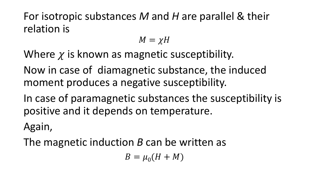For isotropic substances *M* and *H* are parallel & their relation is

$$
M=\chi H
$$

Where  $\chi$  is known as magnetic susceptibility.

Now in case of diamagnetic substance, the induced moment produces a negative susceptibility.

In case of paramagnetic substances the susceptibility is positive and it depends on temperature.

Again,

The magnetic induction *B* can be written as

 $B = \mu_0 (H + M)$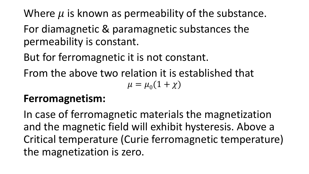Where  $\mu$  is known as permeability of the substance. For diamagnetic & paramagnetic substances the permeability is constant.

But for ferromagnetic it is not constant.

From the above two relation it is established that  $\mu = \mu_0 (1 + \chi)$ 

### **Ferromagnetism:**

In case of ferromagnetic materials the magnetization and the magnetic field will exhibit hysteresis. Above a Critical temperature (Curie ferromagnetic temperature) the magnetization is zero.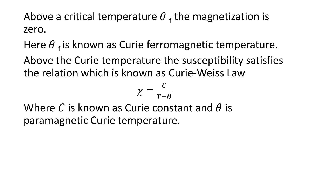Above a critical temperature  $\theta$  <sub>f</sub> the magnetization is zero.

Here  $\theta$   $_f$  is known as Curie ferromagnetic temperature.

Above the Curie temperature the susceptibility satisfies the relation which is known as Curie-Weiss Law

$$
\chi = \frac{c}{T-\theta}
$$

Where C is known as Curie constant and  $\theta$  is paramagnetic Curie temperature.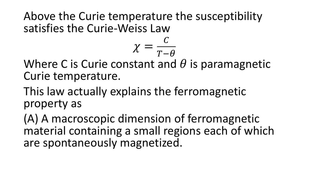Above the Curie temperature the susceptibility satisfies the Curie-Weiss Law

$$
\chi=\frac{c}{T-\theta}
$$

Where C is Curie constant and  $\theta$  is paramagnetic Curie temperature.

This law actually explains the ferromagnetic property as

(A) A macroscopic dimension of ferromagnetic material containing a small regions each of which are spontaneously magnetized.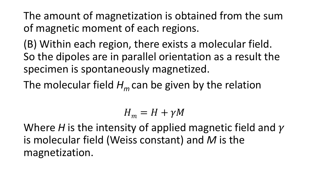The amount of magnetization is obtained from the sum of magnetic moment of each regions.

(B) Within each region, there exists a molecular field. So the dipoles are in parallel orientation as a result the specimen is spontaneously magnetized.

The molecular field  $H_m$  can be given by the relation

$$
H_m = H + \gamma M
$$

Where *H* is the intensity of applied magnetic field and  $\gamma$ is molecular field (Weiss constant) and *M* is the magnetization.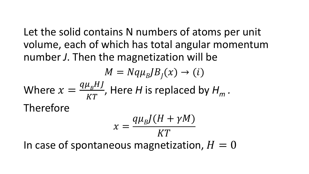Let the solid contains N numbers of atoms per unit volume, each of which has total angular momentum number *J*. Then the magnetization will be

$$
M = Nq\mu_B J B_J(x) \rightarrow (i)
$$
  
Where  $x = \frac{q\mu_B H J}{KT}$ , Here *H* is replaced by  $H_m$ .  
Therefore  

$$
x = \frac{q\mu_B J (H + \gamma M)}{KT}
$$
  
In case of spontaneous magnetization,  $H = 0$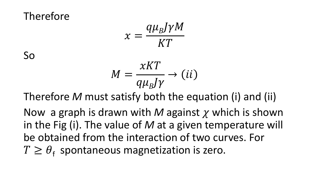Therefore

$$
x = \frac{q\mu_B J \gamma M}{KT}
$$

So

$$
M = \frac{xKT}{q\mu_B J\gamma} \rightarrow (ii)
$$

Therefore *M* must satisfy both the equation (i) and (ii)

Now a graph is drawn with M against  $\chi$  which is shown in the Fig (i). The value of *M* at a given temperature will be obtained from the interaction of two curves. For  $T \ge \theta_f$  spontaneous magnetization is zero.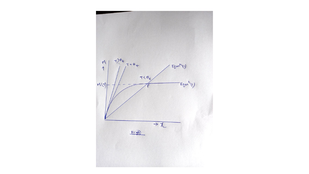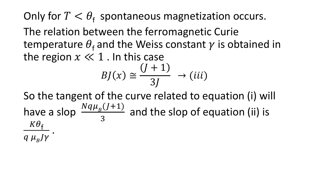Only for  $T < \theta_f$  spontaneous magnetization occurs. The relation between the ferromagnetic Curie temperature  $\theta_f$  and the Weiss constant  $\gamma$  is obtained in the region  $x \ll 1$ . In this case

$$
BJ(x) \cong \frac{(J+1)}{3J} \rightarrow (iii)
$$

So the tangent of the curve related to equation (i) will have a slop  $\frac{Nq\mu_{B}(J+1)}{2}$ 3 and the slop of equation (ii) is  $K\theta_{\rm f}$  $q \mu_B J \gamma$ .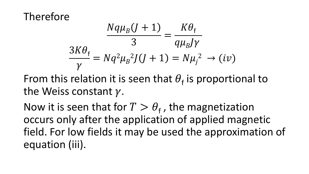Therefore

$$
\frac{Nq\mu_B(J+1)}{3} = \frac{K\theta_f}{q\mu_BJ\gamma}
$$

$$
\frac{3K\theta_f}{\gamma} = Nq^2\mu_B^2J(J+1) = N\mu_j^2 \to (iv)
$$

From this relation it is seen that  $\theta_f$  is proportional to the Weiss constant  $\gamma$ .

Now it is seen that for  $T > \theta_f$ , the magnetization occurs only after the application of applied magnetic field. For low fields it may be used the approximation of equation (iii).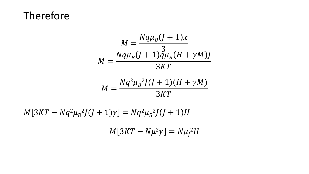#### Therefore

$$
M = \frac{Nq\mu_B(J+1)x}{3}
$$
  

$$
M = \frac{Nq\mu_B(J+1)q\mu_B(H+\gamma M)J}{3KT}
$$
  

$$
M = \frac{Nq^2\mu_B^2J(J+1)(H+\gamma M)}{3KT}
$$

$$
3KT
$$

 $M[3KT - Nq^2\mu_B{}^2J(J+1)\gamma] = Nq^2\mu_B{}^2J(J+1)H$ 

 $M[3KT - N\mu^2\gamma] = N\mu_l^2H$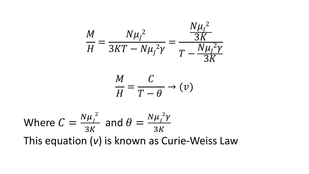$$
\frac{M}{H} = \frac{N\mu_f^2}{3KT - N\mu_f^2 \gamma} = \frac{\frac{N\mu_f^2}{3K}}{T - \frac{N\mu_f^2 \gamma}{3K}}
$$

$$
\frac{M}{H} = \frac{C}{T - \theta} \to (\nu)
$$

Where 
$$
C = \frac{N\mu_I^2}{3K}
$$
 and  $\theta = \frac{N\mu_I^2 \gamma}{3K}$   
This equation (*v*) is known as Curie-Weiss Law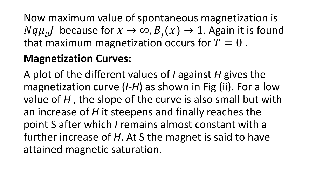Now maximum value of spontaneous magnetization is  $Nqu_B J$  because for  $x \to \infty$ ,  $B_J(x) \to 1$ . Again it is found that maximum magnetization occurs for  $T = 0$ .

## **Magnetization Curves:**

A plot of the different values of *I* against *H* gives the magnetization curve (*I-H*) as shown in Fig (ii). For a low value of *H* , the slope of the curve is also small but with an increase of *H* it steepens and finally reaches the point S after which *I* remains almost constant with a further increase of *H*. At S the magnet is said to have attained magnetic saturation.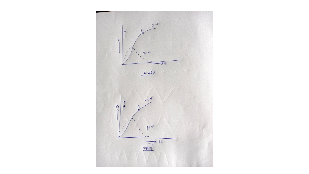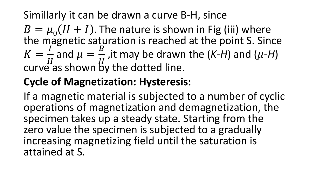### Simillarly it can be drawn a curve B-H, since

 $B = \mu_0 (H + I)$ . The nature is shown in Fig (iii) where the magnetic saturation is reached at the point S. Since  $K=$  $\boldsymbol{I}$  $\boldsymbol{H}$ and  $\mu =$  $\boldsymbol{B}$  $\overline{H}$ , it may be drawn the  $(K-H)$  and  $(\mu-H)$ curve as shown by the dotted line.

### **Cycle of Magnetization: Hysteresis:**

If a magnetic material is subjected to a number of cyclic operations of magnetization and demagnetization, the specimen takes up a steady state. Starting from the zero value the specimen is subjected to a gradually increasing magnetizing field until the saturation is attained at S.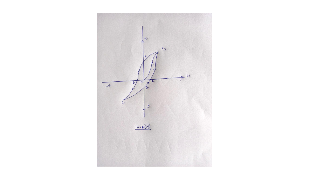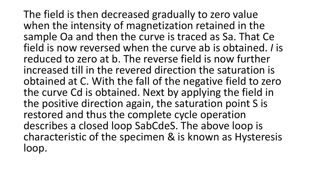The field is then decreased gradually to zero value when the intensity of magnetization retained in the sample Oa and then the curve is traced as Sa. That Ce field is now reversed when the curve ab is obtained. *I* is reduced to zero at b. The reverse field is now further increased till in the revered direction the saturation is obtained at C. With the fall of the negative field to zero the curve Cd is obtained. Next by applying the field in the positive direction again, the saturation point S is restored and thus the complete cycle operation describes a closed loop SabCdeS. The above loop is characteristic of the specimen & is known as Hysteresis loop.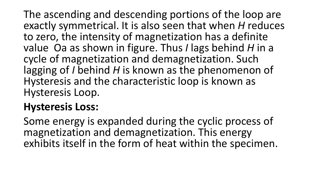The ascending and descending portions of the loop are exactly symmetrical. It is also seen that when *H* reduces to zero, the intensity of magnetization has a definite value Oa as shown in figure. Thus *I* lags behind *H* in a cycle of magnetization and demagnetization. Such lagging of *I* behind *H* is known as the phenomenon of Hysteresis and the characteristic loop is known as Hysteresis Loop.

#### **Hysteresis Loss:**

Some energy is expanded during the cyclic process of magnetization and demagnetization. This energy exhibits itself in the form of heat within the specimen.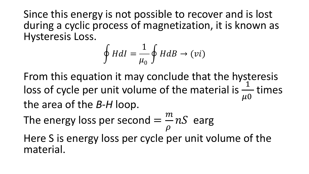Since this energy is not possible to recover and is lost during a cyclic process of magnetization, it is known as Hysteresis Loss.

$$
\oint HdI = \frac{1}{\mu_0} \oint HdB \rightarrow (vi)
$$

From this equation it may conclude that the hysteresis loss of cycle per unit volume of the material is  $\frac{1}{\sqrt{2}}$  $\mu$ 0 times the area of the *B-H* loop.

The energy loss per second  $=$  $\overline{m}$  $\rho$  $nS$  earg

Here S is energy loss per cycle per unit volume of the material.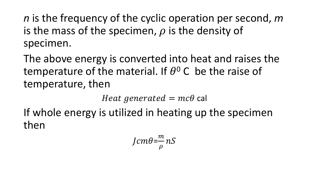*n* is the frequency of the cyclic operation per second, *m* is the mass of the specimen,  $\rho$  is the density of specimen.

The above energy is converted into heat and raises the temperature of the material. If  $\theta^0$  C be the raise of temperature, then

Heat generated  $= mc\theta$  cal

If whole energy is utilized in heating up the specimen then

$$
Jcm\theta = \frac{m}{\rho} nS
$$